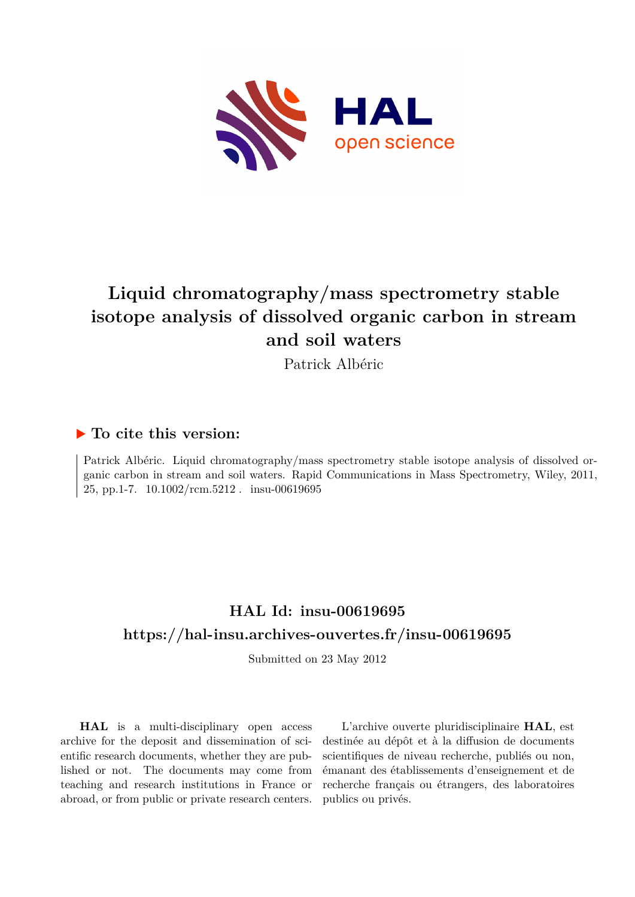

# **Liquid chromatography/mass spectrometry stable isotope analysis of dissolved organic carbon in stream and soil waters**

Patrick Albéric

## **To cite this version:**

Patrick Albéric. Liquid chromatography/mass spectrometry stable isotope analysis of dissolved organic carbon in stream and soil waters. Rapid Communications in Mass Spectrometry, Wiley, 2011, 25, pp.1-7.  $10.1002/\text{rcm}.5212$ . insu-00619695

## **HAL Id: insu-00619695 <https://hal-insu.archives-ouvertes.fr/insu-00619695>**

Submitted on 23 May 2012

**HAL** is a multi-disciplinary open access archive for the deposit and dissemination of scientific research documents, whether they are published or not. The documents may come from teaching and research institutions in France or abroad, or from public or private research centers.

L'archive ouverte pluridisciplinaire **HAL**, est destinée au dépôt et à la diffusion de documents scientifiques de niveau recherche, publiés ou non, émanant des établissements d'enseignement et de recherche français ou étrangers, des laboratoires publics ou privés.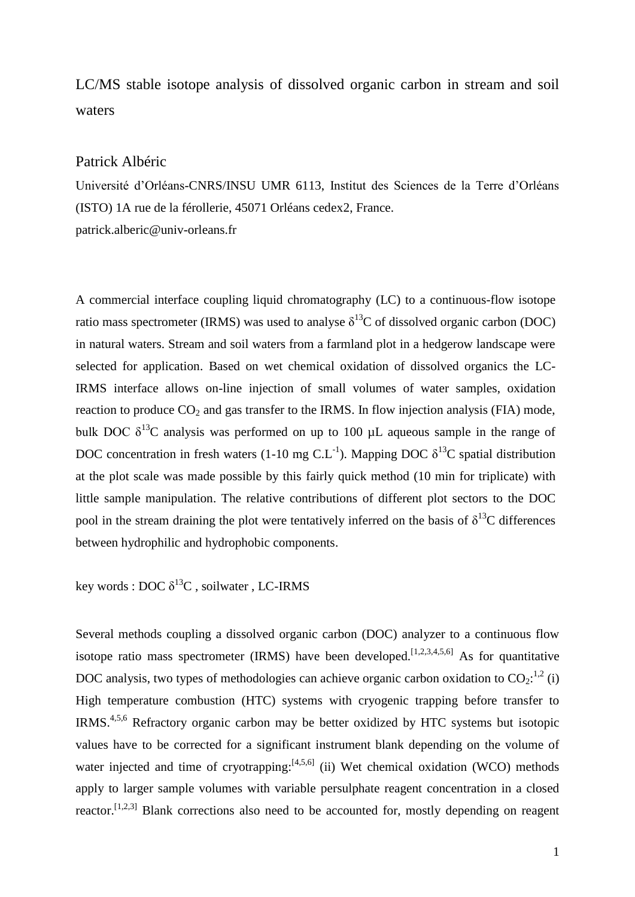## LC/MS stable isotope analysis of dissolved organic carbon in stream and soil waters

### Patrick Albéric

Université d'Orléans-CNRS/INSU UMR 6113, Institut des Sciences de la Terre d'Orléans (ISTO) 1A rue de la férollerie, 45071 Orléans cedex2, France. patrick.alberic@univ-orleans.fr

A commercial interface coupling liquid chromatography (LC) to a continuous-flow isotope ratio mass spectrometer (IRMS) was used to analyse  $\delta^{13}C$  of dissolved organic carbon (DOC) in natural waters. Stream and soil waters from a farmland plot in a hedgerow landscape were selected for application. Based on wet chemical oxidation of dissolved organics the LC-IRMS interface allows on-line injection of small volumes of water samples, oxidation reaction to produce  $CO_2$  and gas transfer to the IRMS. In flow injection analysis (FIA) mode, bulk DOC  $\delta^{13}$ C analysis was performed on up to 100 µL aqueous sample in the range of DOC concentration in fresh waters (1-10 mg C.L<sup>-1</sup>). Mapping DOC  $\delta^{13}$ C spatial distribution at the plot scale was made possible by this fairly quick method (10 min for triplicate) with little sample manipulation. The relative contributions of different plot sectors to the DOC pool in the stream draining the plot were tentatively inferred on the basis of  $\delta^{13}C$  differences between hydrophilic and hydrophobic components.

## key words : DOC  $\delta^{13}C$  , soilwater , LC-IRMS

Several methods coupling a dissolved organic carbon (DOC) analyzer to a continuous flow isotope ratio mass spectrometer (IRMS) have been developed.<sup>[1,2,3,4,5,6]</sup> As for quantitative DOC analysis, two types of methodologies can achieve organic carbon oxidation to  $CO_2$ :<sup>1,2</sup> (i) High temperature combustion (HTC) systems with cryogenic trapping before transfer to IRMS.<sup>4,5,6</sup> Refractory organic carbon may be better oxidized by HTC systems but isotopic values have to be corrected for a significant instrument blank depending on the volume of water injected and time of cryotrapping: $[4,5,6]$  (ii) Wet chemical oxidation (WCO) methods apply to larger sample volumes with variable persulphate reagent concentration in a closed reactor.<sup>[1,2,3]</sup> Blank corrections also need to be accounted for, mostly depending on reagent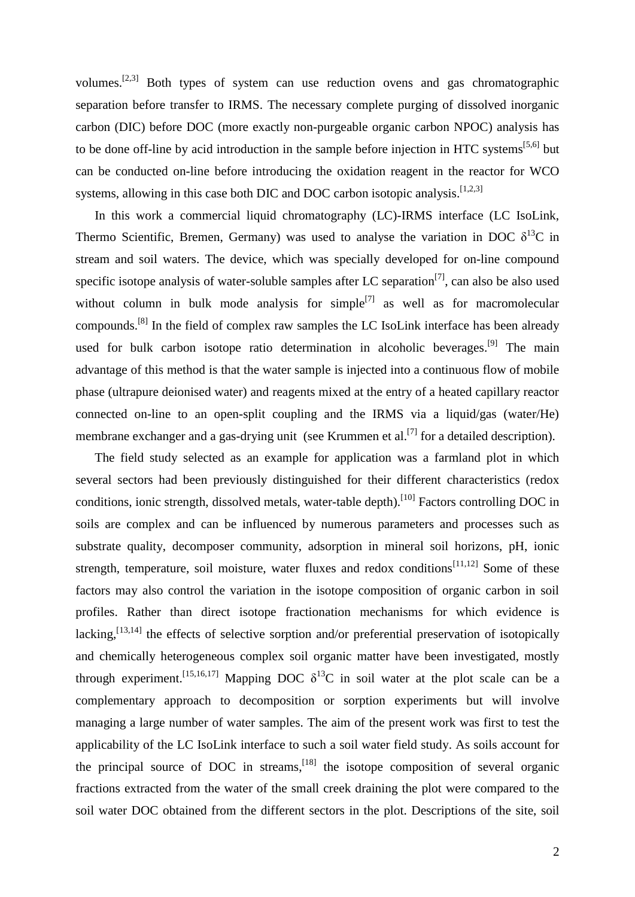volumes.[2,3] Both types of system can use reduction ovens and gas chromatographic separation before transfer to IRMS. The necessary complete purging of dissolved inorganic carbon (DIC) before DOC (more exactly non-purgeable organic carbon NPOC) analysis has to be done off-line by acid introduction in the sample before injection in HTC systems<sup>[5,6]</sup> but can be conducted on-line before introducing the oxidation reagent in the reactor for WCO systems, allowing in this case both DIC and DOC carbon isotopic analysis.<sup>[1,2,3]</sup>

In this work a commercial liquid chromatography (LC)-IRMS interface (LC IsoLink, Thermo Scientific, Bremen, Germany) was used to analyse the variation in DOC  $\delta^{13}C$  in stream and soil waters. The device, which was specially developed for on-line compound specific isotope analysis of water-soluble samples after LC separation<sup>[7]</sup>, can also be also used without column in bulk mode analysis for simple<sup>[7]</sup> as well as for macromolecular compounds.<sup>[8]</sup> In the field of complex raw samples the LC IsoLink interface has been already used for bulk carbon isotope ratio determination in alcoholic beverages.<sup>[9]</sup> The main advantage of this method is that the water sample is injected into a continuous flow of mobile phase (ultrapure deionised water) and reagents mixed at the entry of a heated capillary reactor connected on-line to an open-split coupling and the IRMS via a liquid/gas (water/He) membrane exchanger and a gas-drying unit (see Krummen et al. $^{[7]}$  for a detailed description).

The field study selected as an example for application was a farmland plot in which several sectors had been previously distinguished for their different characteristics (redox conditions, ionic strength, dissolved metals, water-table depth).<sup>[10]</sup> Factors controlling DOC in soils are complex and can be influenced by numerous parameters and processes such as substrate quality, decomposer community, adsorption in mineral soil horizons, pH, ionic strength, temperature, soil moisture, water fluxes and redox conditions<sup>[11,12]</sup> Some of these factors may also control the variation in the isotope composition of organic carbon in soil profiles. Rather than direct isotope fractionation mechanisms for which evidence is lacking,  $\left[13,14\right]$  the effects of selective sorption and/or preferential preservation of isotopically and chemically heterogeneous complex soil organic matter have been investigated, mostly through experiment.<sup>[15,16,17]</sup> Mapping DOC  $\delta^{13}$ C in soil water at the plot scale can be a complementary approach to decomposition or sorption experiments but will involve managing a large number of water samples. The aim of the present work was first to test the applicability of the LC IsoLink interface to such a soil water field study. As soils account for the principal source of DOC in streams, <sup>[18]</sup> the isotope composition of several organic fractions extracted from the water of the small creek draining the plot were compared to the soil water DOC obtained from the different sectors in the plot. Descriptions of the site, soil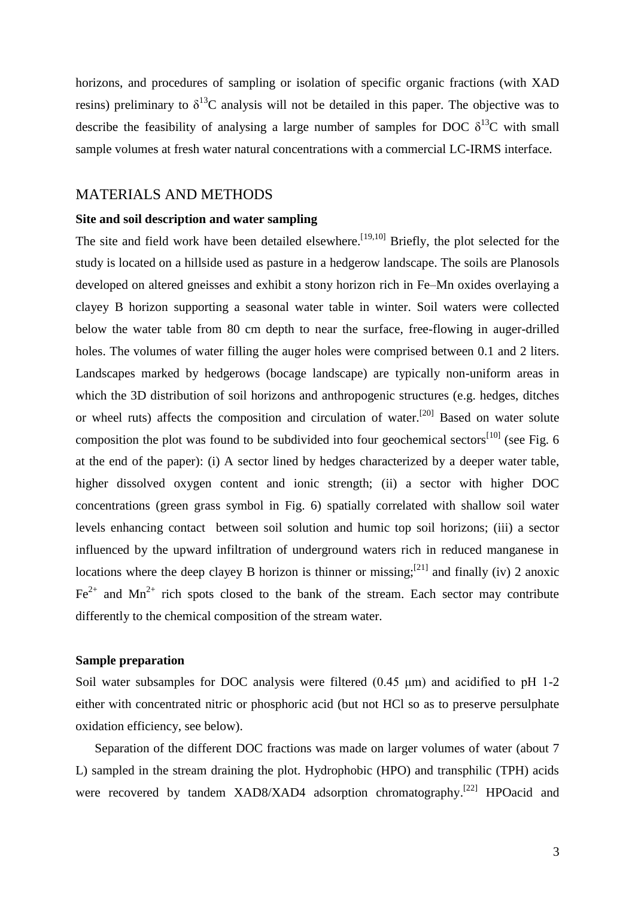horizons, and procedures of sampling or isolation of specific organic fractions (with XAD resins) preliminary to  $\delta^{13}$ C analysis will not be detailed in this paper. The objective was to describe the feasibility of analysing a large number of samples for DOC  $\delta^{13}C$  with small sample volumes at fresh water natural concentrations with a commercial LC-IRMS interface.

#### MATERIALS AND METHODS

#### **Site and soil description and water sampling**

The site and field work have been detailed elsewhere.<sup>[19,10]</sup> Briefly, the plot selected for the study is located on a hillside used as pasture in a hedgerow landscape. The soils are Planosols developed on altered gneisses and exhibit a stony horizon rich in Fe–Mn oxides overlaying a clayey B horizon supporting a seasonal water table in winter. Soil waters were collected below the water table from 80 cm depth to near the surface, free-flowing in auger-drilled holes. The volumes of water filling the auger holes were comprised between 0.1 and 2 liters. Landscapes marked by hedgerows (bocage landscape) are typically non-uniform areas in which the 3D distribution of soil horizons and anthropogenic structures (e.g. hedges, ditches or wheel ruts) affects the composition and circulation of water.<sup>[20]</sup> Based on water solute composition the plot was found to be subdivided into four geochemical sectors<sup>[10]</sup> (see Fig. 6 at the end of the paper): (i) A sector lined by hedges characterized by a deeper water table, higher dissolved oxygen content and ionic strength; (ii) a sector with higher DOC concentrations (green grass symbol in Fig. 6) spatially correlated with shallow soil water levels enhancing contact between soil solution and humic top soil horizons; (iii) a sector influenced by the upward infiltration of underground waters rich in reduced manganese in locations where the deep clayey B horizon is thinner or missing;  $[21]$  and finally (iv) 2 anoxic  $Fe<sup>2+</sup>$  and Mn<sup>2+</sup> rich spots closed to the bank of the stream. Each sector may contribute differently to the chemical composition of the stream water.

#### **Sample preparation**

Soil water subsamples for DOC analysis were filtered (0.45 μm) and acidified to pH 1-2 either with concentrated nitric or phosphoric acid (but not HCl so as to preserve persulphate oxidation efficiency, see below).

Separation of the different DOC fractions was made on larger volumes of water (about 7 L) sampled in the stream draining the plot. Hydrophobic (HPO) and transphilic (TPH) acids were recovered by tandem XAD8/XAD4 adsorption chromatography.<sup>[22]</sup> HPOacid and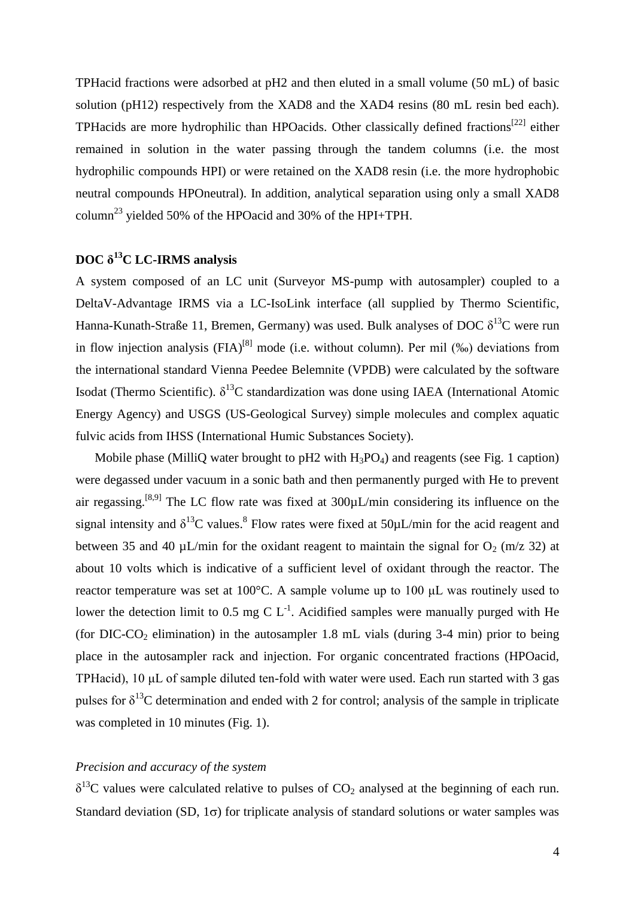TPHacid fractions were adsorbed at pH2 and then eluted in a small volume (50 mL) of basic solution (pH12) respectively from the XAD8 and the XAD4 resins (80 mL resin bed each). TPHacids are more hydrophilic than HPOacids. Other classically defined fractions<sup>[22]</sup> either remained in solution in the water passing through the tandem columns (i.e. the most hydrophilic compounds HPI) or were retained on the XAD8 resin (i.e. the more hydrophobic neutral compounds HPOneutral). In addition, analytical separation using only a small XAD8 column<sup>23</sup> yielded 50% of the HPOacid and 30% of the HPI+TPH.

## **DOC δ <sup>13</sup>C LC-IRMS analysis**

A system composed of an LC unit (Surveyor MS-pump with autosampler) coupled to a DeltaV-Advantage IRMS via a LC-IsoLink interface (all supplied by Thermo Scientific, Hanna-Kunath-Straße 11, Bremen, Germany) was used. Bulk analyses of DOC  $\delta^{13}C$  were run in flow injection analysis  $(FIA)^{[8]}$  mode (i.e. without column). Per mil (‰) deviations from the international standard Vienna Peedee Belemnite (VPDB) were calculated by the software Isodat (Thermo Scientific).  $\delta^{13}C$  standardization was done using IAEA (International Atomic Energy Agency) and USGS (US-Geological Survey) simple molecules and complex aquatic fulvic acids from IHSS (International Humic Substances Society).

Mobile phase (MilliQ water brought to pH2 with  $H_3PO_4$ ) and reagents (see Fig. 1 caption) were degassed under vacuum in a sonic bath and then permanently purged with He to prevent air regassing.<sup>[8,9]</sup> The LC flow rate was fixed at  $300 \mu L/min$  considering its influence on the signal intensity and  $\delta^{13}$ C values.<sup>8</sup> Flow rates were fixed at 50 $\mu$ L/min for the acid reagent and between 35 and 40  $\mu$ L/min for the oxidant reagent to maintain the signal for O<sub>2</sub> (m/z 32) at about 10 volts which is indicative of a sufficient level of oxidant through the reactor. The reactor temperature was set at 100°C. A sample volume up to 100 μL was routinely used to lower the detection limit to 0.5 mg C  $L^{-1}$ . Acidified samples were manually purged with He (for DIC-CO<sub>2</sub> elimination) in the autosampler 1.8 mL vials (during  $3-4$  min) prior to being place in the autosampler rack and injection. For organic concentrated fractions (HPOacid, TPHacid), 10 μL of sample diluted ten-fold with water were used. Each run started with 3 gas pulses for  $\delta^{13}$ C determination and ended with 2 for control; analysis of the sample in triplicate was completed in 10 minutes (Fig. 1).

### *Precision and accuracy of the system*

 $\delta^{13}$ C values were calculated relative to pulses of CO<sub>2</sub> analysed at the beginning of each run. Standard deviation (SD,  $1\sigma$ ) for triplicate analysis of standard solutions or water samples was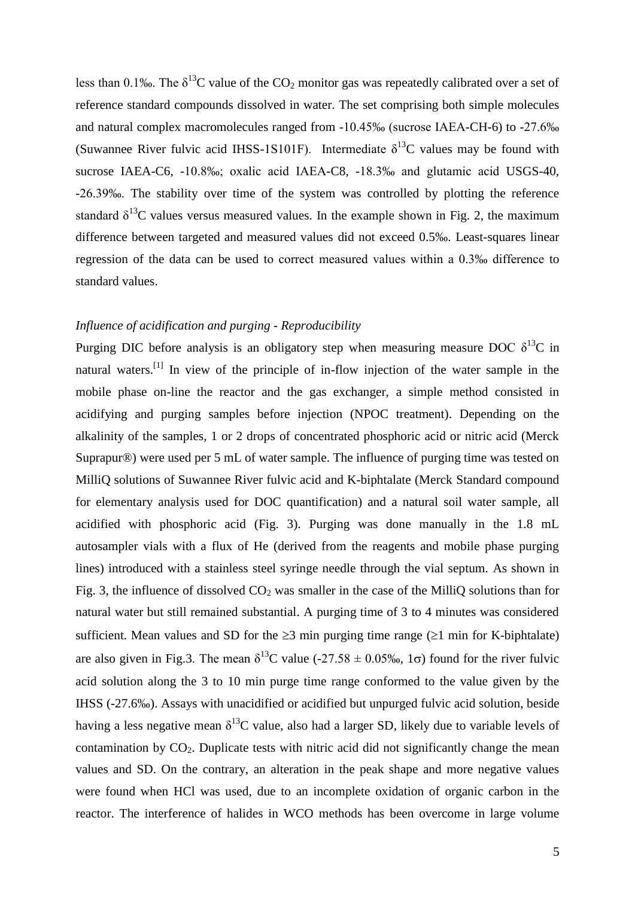less than 0.1‰. The  $\delta^{13}C$  value of the CO<sub>2</sub> monitor gas was repeatedly calibrated over a set of reference standard compounds dissolved in water. The set comprising both simple molecules and natural complex macromolecules ranged from -10.45‰ (sucrose IAEA-CH-6) to -27.6‰ (Suwannee River fulvic acid IHSS-1S101F). Intermediate  $\delta^{13}$ C values may be found with sucrose IAEA-C6, -10.8‰; oxalic acid IAEA-C8, -18.3‰ and glutamic acid USGS-40, -26.39‰. The stability over time of the system was controlled by plotting the reference standard  $\delta^{13}$ C values versus measured values. In the example shown in Fig. 2, the maximum difference between targeted and measured values did not exceed 0.5‰. Least-squares linear regression of the data can be used to correct measured values within a 0.3‰ difference to standard values.

#### *Influence of acidification and purging - Reproducibility*

Purging DIC before analysis is an obligatory step when measuring measure DOC  $\delta^{13}$ C in natural waters.<sup>[1]</sup> In view of the principle of in-flow injection of the water sample in the mobile phase on-line the reactor and the gas exchanger, a simple method consisted in acidifying and purging samples before injection (NPOC treatment). Depending on the alkalinity of the samples, 1 or 2 drops of concentrated phosphoric acid or nitric acid (Merck Suprapur®) were used per 5 mL of water sample. The influence of purging time was tested on MilliQ solutions of Suwannee River fulvic acid and K-biphtalate (Merck Standard compound for elementary analysis used for DOC quantification) and a natural soil water sample, all acidified with phosphoric acid (Fig. 3). Purging was done manually in the 1.8 mL autosampler vials with a flux of He (derived from the reagents and mobile phase purging lines) introduced with a stainless steel syringe needle through the vial septum. As shown in Fig. 3, the influence of dissolved  $CO<sub>2</sub>$  was smaller in the case of the MilliQ solutions than for natural water but still remained substantial. A purging time of 3 to 4 minutes was considered sufficient. Mean values and SD for the  $\geq 3$  min purging time range ( $\geq 1$  min for K-biphtalate) are also given in Fig.3. The mean  $\delta^{13}$ C value (-27.58  $\pm$  0.05‰, 1 $\sigma$ ) found for the river fulvic acid solution along the 3 to 10 min purge time range conformed to the value given by the IHSS (-27.6‰). Assays with unacidified or acidified but unpurged fulvic acid solution, beside having a less negative mean  $\delta^{13}C$  value, also had a larger SD, likely due to variable levels of contamination by  $CO<sub>2</sub>$ . Duplicate tests with nitric acid did not significantly change the mean values and SD. On the contrary, an alteration in the peak shape and more negative values were found when HCl was used, due to an incomplete oxidation of organic carbon in the reactor. The interference of halides in WCO methods has been overcome in large volume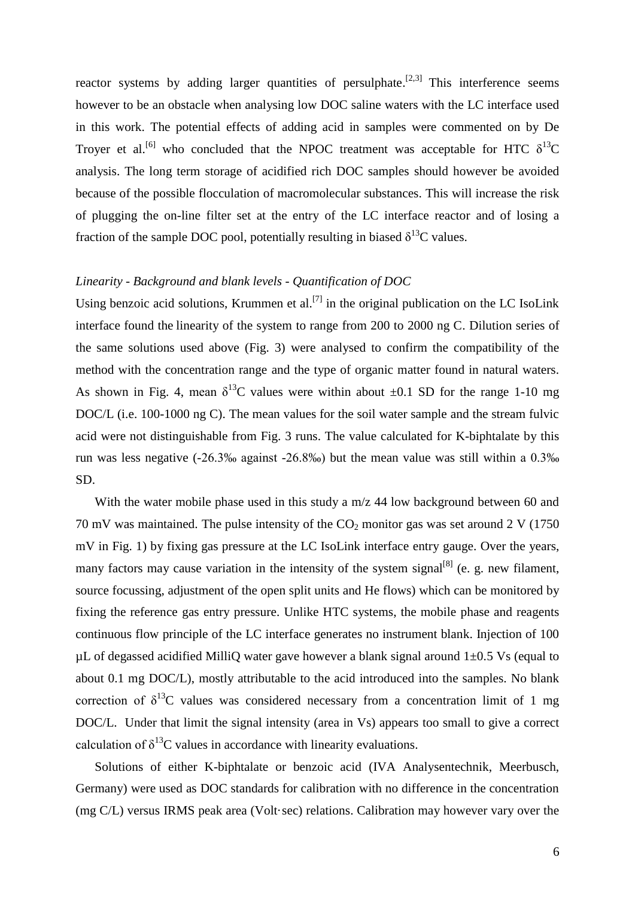reactor systems by adding larger quantities of persulphate.<sup>[2,3]</sup> This interference seems however to be an obstacle when analysing low DOC saline waters with the LC interface used in this work. The potential effects of adding acid in samples were commented on by De Troyer et al.<sup>[6]</sup> who concluded that the NPOC treatment was acceptable for HTC  $\delta^{13}$ C analysis. The long term storage of acidified rich DOC samples should however be avoided because of the possible flocculation of macromolecular substances. This will increase the risk of plugging the on-line filter set at the entry of the LC interface reactor and of losing a fraction of the sample DOC pool, potentially resulting in biased  $\delta^{13}C$  values.

#### *Linearity - Background and blank levels - Quantification of DOC*

Using benzoic acid solutions, Krummen et al.<sup>[7]</sup> in the original publication on the LC IsoLink interface found the linearity of the system to range from 200 to 2000 ng C. Dilution series of the same solutions used above (Fig. 3) were analysed to confirm the compatibility of the method with the concentration range and the type of organic matter found in natural waters. As shown in Fig. 4, mean  $\delta^{13}$ C values were within about  $\pm 0.1$  SD for the range 1-10 mg DOC/L (i.e. 100-1000 ng C). The mean values for the soil water sample and the stream fulvic acid were not distinguishable from Fig. 3 runs. The value calculated for K-biphtalate by this run was less negative (-26.3‰ against -26.8‰) but the mean value was still within a 0.3‰ SD.

With the water mobile phase used in this study a m/z 44 low background between 60 and 70 mV was maintained. The pulse intensity of the  $CO<sub>2</sub>$  monitor gas was set around 2 V (1750) mV in Fig. 1) by fixing gas pressure at the LC IsoLink interface entry gauge. Over the years, many factors may cause variation in the intensity of the system signal<sup>[8]</sup> (e. g. new filament, source focussing, adjustment of the open split units and He flows) which can be monitored by fixing the reference gas entry pressure. Unlike HTC systems, the mobile phase and reagents continuous flow principle of the LC interface generates no instrument blank. Injection of 100  $\mu$ L of degassed acidified MilliQ water gave however a blank signal around 1 $\pm$ 0.5 Vs (equal to about 0.1 mg DOC/L), mostly attributable to the acid introduced into the samples. No blank correction of  $\delta^{13}$ C values was considered necessary from a concentration limit of 1 mg DOC/L. Under that limit the signal intensity (area in Vs) appears too small to give a correct calculation of  $\delta^{13}$ C values in accordance with linearity evaluations.

Solutions of either K-biphtalate or benzoic acid (IVA Analysentechnik, Meerbusch, Germany) were used as DOC standards for calibration with no difference in the concentration (mg C/L) versus IRMS peak area (Volt·sec) relations. Calibration may however vary over the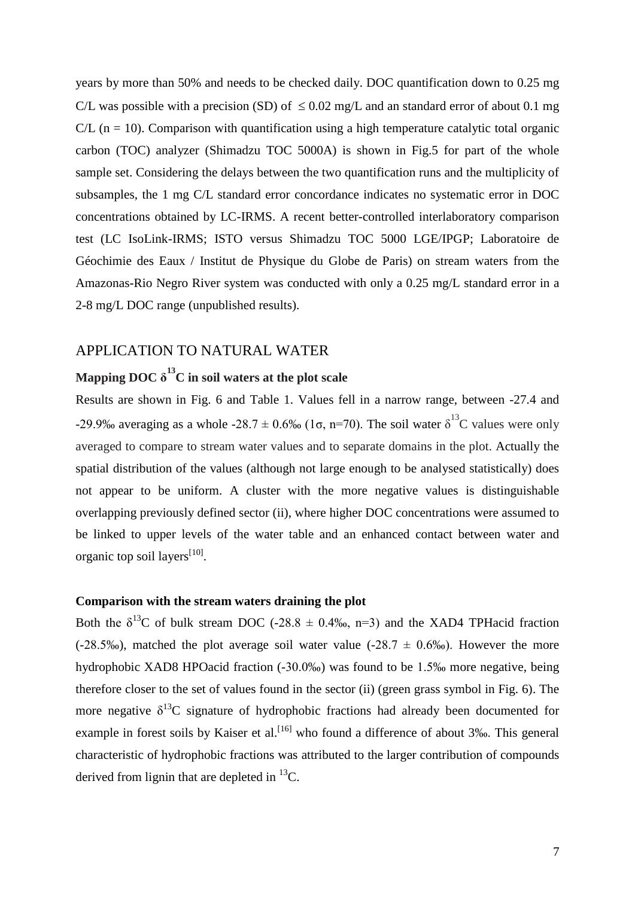years by more than 50% and needs to be checked daily. DOC quantification down to 0.25 mg C/L was possible with a precision (SD) of  $\leq 0.02$  mg/L and an standard error of about 0.1 mg  $CL$  (n = 10). Comparison with quantification using a high temperature catalytic total organic carbon (TOC) analyzer (Shimadzu TOC 5000A) is shown in Fig.5 for part of the whole sample set. Considering the delays between the two quantification runs and the multiplicity of subsamples, the 1 mg C/L standard error concordance indicates no systematic error in DOC concentrations obtained by LC-IRMS. A recent better-controlled interlaboratory comparison test (LC IsoLink-IRMS; ISTO versus Shimadzu TOC 5000 LGE/IPGP; Laboratoire de Géochimie des Eaux / Institut de Physique du Globe de Paris) on stream waters from the Amazonas-Rio Negro River system was conducted with only a 0.25 mg/L standard error in a 2-8 mg/L DOC range (unpublished results).

### APPLICATION TO NATURAL WATER

## **Mapping DOC δ <sup>13</sup>C in soil waters at the plot scale**

Results are shown in Fig. 6 and Table 1. Values fell in a narrow range, between -27.4 and -29.9‰ averaging as a whole -28.7  $\pm$  0.6‰ (1 $\sigma$ , n=70). The soil water  $\delta^{13}$ C values were only averaged to compare to stream water values and to separate domains in the plot. Actually the spatial distribution of the values (although not large enough to be analysed statistically) does not appear to be uniform. A cluster with the more negative values is distinguishable overlapping previously defined sector (ii), where higher DOC concentrations were assumed to be linked to upper levels of the water table and an enhanced contact between water and organic top soil layers<sup>[10]</sup>.

#### **Comparison with the stream waters draining the plot**

Both the  $\delta^{13}$ C of bulk stream DOC (-28.8  $\pm$  0.4‰, n=3) and the XAD4 TPHacid fraction (-28.5‰), matched the plot average soil water value (-28.7  $\pm$  0.6‰). However the more hydrophobic XAD8 HPOacid fraction (-30.0‰) was found to be 1.5‰ more negative, being therefore closer to the set of values found in the sector (ii) (green grass symbol in Fig. 6). The more negative  $\delta^{13}C$  signature of hydrophobic fractions had already been documented for example in forest soils by Kaiser et al.<sup>[16]</sup> who found a difference of about 3‰. This general characteristic of hydrophobic fractions was attributed to the larger contribution of compounds derived from lignin that are depleted in  ${}^{13}C$ .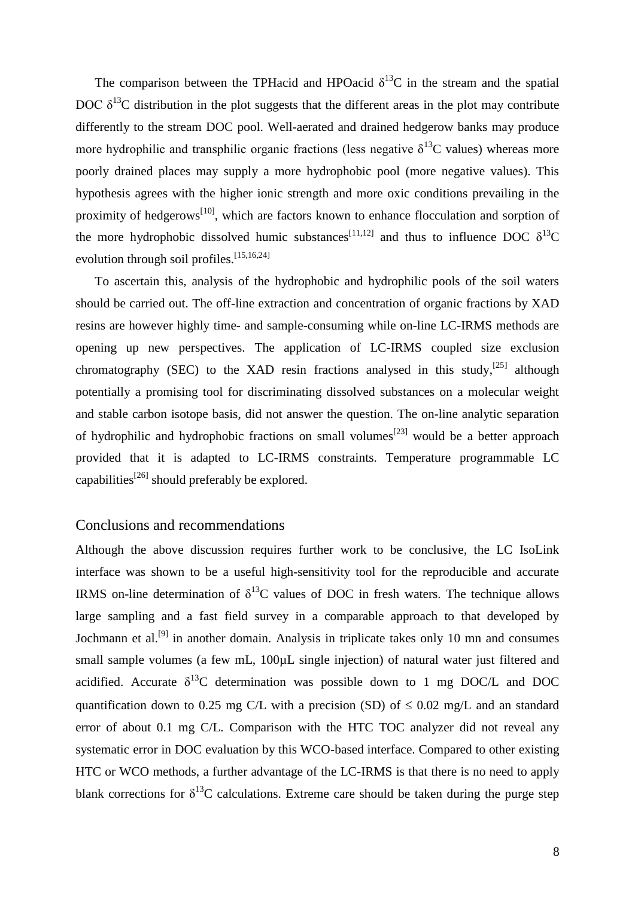The comparison between the TPHacid and HPOacid  $\delta^{13}$ C in the stream and the spatial DOC  $\delta^{13}$ C distribution in the plot suggests that the different areas in the plot may contribute differently to the stream DOC pool. Well-aerated and drained hedgerow banks may produce more hydrophilic and transphilic organic fractions (less negative  $\delta^{13}$ C values) whereas more poorly drained places may supply a more hydrophobic pool (more negative values). This hypothesis agrees with the higher ionic strength and more oxic conditions prevailing in the proximity of hedgerows<sup>[10]</sup>, which are factors known to enhance flocculation and sorption of the more hydrophobic dissolved humic substances<sup>[11,12]</sup> and thus to influence DOC  $\delta^{13}$ C evolution through soil profiles.<sup>[15,16,24]</sup>

To ascertain this, analysis of the hydrophobic and hydrophilic pools of the soil waters should be carried out. The off-line extraction and concentration of organic fractions by XAD resins are however highly time- and sample-consuming while on-line LC-IRMS methods are opening up new perspectives. The application of LC-IRMS coupled size exclusion chromatography (SEC) to the XAD resin fractions analysed in this study,  $[25]$  although potentially a promising tool for discriminating dissolved substances on a molecular weight and stable carbon isotope basis, did not answer the question. The on-line analytic separation of hydrophilic and hydrophobic fractions on small volumes<sup>[23]</sup> would be a better approach provided that it is adapted to LC-IRMS constraints. Temperature programmable LC capabilities<sup>[26]</sup> should preferably be explored.

#### Conclusions and recommendations

Although the above discussion requires further work to be conclusive, the LC IsoLink interface was shown to be a useful high-sensitivity tool for the reproducible and accurate IRMS on-line determination of  $\delta^{13}C$  values of DOC in fresh waters. The technique allows large sampling and a fast field survey in a comparable approach to that developed by Jochmann et al.<sup>[9]</sup> in another domain. Analysis in triplicate takes only 10 mn and consumes small sample volumes (a few mL,  $100\mu$ L single injection) of natural water just filtered and acidified. Accurate  $\delta^{13}C$  determination was possible down to 1 mg DOC/L and DOC quantification down to 0.25 mg C/L with a precision (SD) of  $\leq$  0.02 mg/L and an standard error of about 0.1 mg C/L. Comparison with the HTC TOC analyzer did not reveal any systematic error in DOC evaluation by this WCO-based interface. Compared to other existing HTC or WCO methods, a further advantage of the LC-IRMS is that there is no need to apply blank corrections for  $\delta^{13}$ C calculations. Extreme care should be taken during the purge step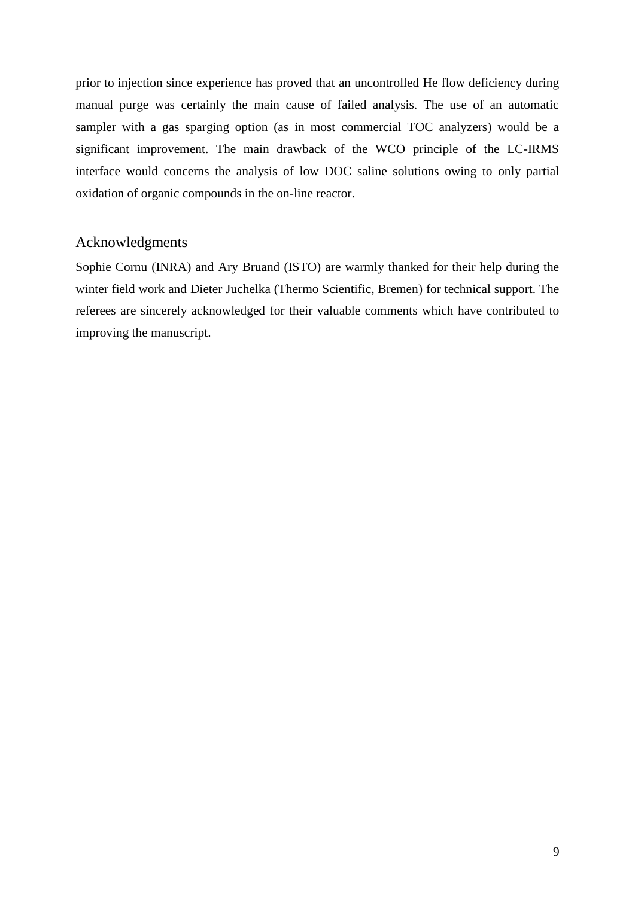prior to injection since experience has proved that an uncontrolled He flow deficiency during manual purge was certainly the main cause of failed analysis. The use of an automatic sampler with a gas sparging option (as in most commercial TOC analyzers) would be a significant improvement. The main drawback of the WCO principle of the LC-IRMS interface would concerns the analysis of low DOC saline solutions owing to only partial oxidation of organic compounds in the on-line reactor.

## Acknowledgments

Sophie Cornu (INRA) and Ary Bruand (ISTO) are warmly thanked for their help during the winter field work and Dieter Juchelka (Thermo Scientific, Bremen) for technical support. The referees are sincerely acknowledged for their valuable comments which have contributed to improving the manuscript.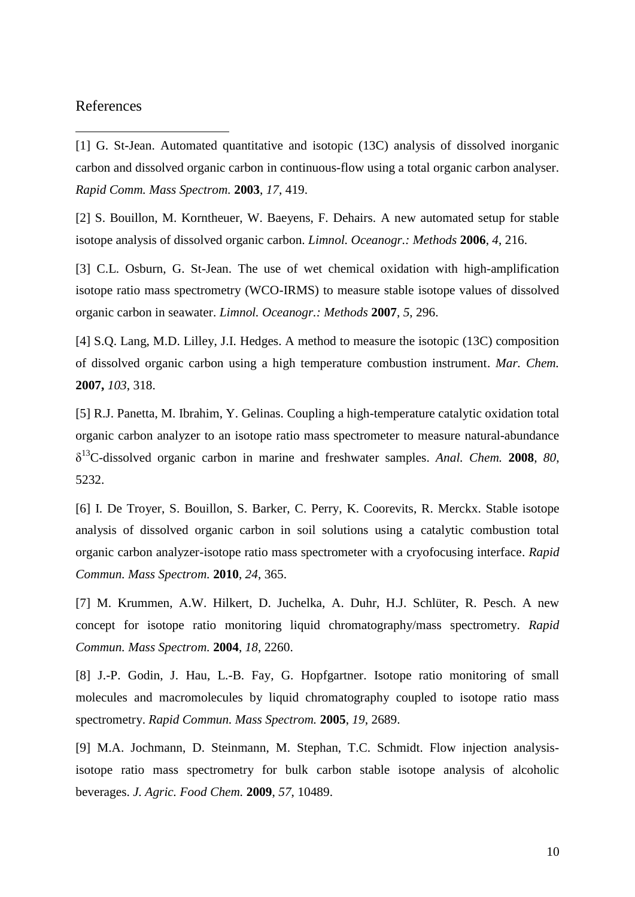### References

 $\overline{a}$ 

[1] G. St-Jean. Automated quantitative and isotopic (13C) analysis of dissolved inorganic carbon and dissolved organic carbon in continuous-flow using a total organic carbon analyser. *Rapid Comm. Mass Spectrom.* **2003**, *17*, 419.

[2] S. Bouillon, M. Korntheuer, W. Baeyens, F. Dehairs. A new automated setup for stable isotope analysis of dissolved organic carbon. *Limnol. Oceanogr.: Methods* **2006**, *4*, 216.

[3] C.L. Osburn, G. St-Jean. The use of wet chemical oxidation with high-amplification isotope ratio mass spectrometry (WCO-IRMS) to measure stable isotope values of dissolved organic carbon in seawater. *Limnol. Oceanogr.: Methods* **2007**, *5*, 296.

[4] S.Q. Lang, M.D. Lilley, J.I. Hedges. A method to measure the isotopic (13C) composition of dissolved organic carbon using a high temperature combustion instrument. *Mar. Chem.* **2007,** *103*, 318.

[5] R.J. Panetta, M. Ibrahim, Y. Gelinas. Coupling a high-temperature catalytic oxidation total organic carbon analyzer to an isotope ratio mass spectrometer to measure natural-abundance δ <sup>13</sup>C-dissolved organic carbon in marine and freshwater samples. *Anal. Chem.* **2008**, *80*, 5232.

[6] I. De Troyer, S. Bouillon, S. Barker, C. Perry, K. Coorevits, R. Merckx. Stable isotope analysis of dissolved organic carbon in soil solutions using a catalytic combustion total organic carbon analyzer-isotope ratio mass spectrometer with a cryofocusing interface. *Rapid Commun. Mass Spectrom.* **2010**, *24*, 365.

[7] M. Krummen, A.W. Hilkert, D. Juchelka, A. Duhr, H.J. Schlüter, R. Pesch. A new concept for isotope ratio monitoring liquid chromatography/mass spectrometry. *Rapid Commun. Mass Spectrom.* **2004**, *18*, 2260.

[8] J.-P. Godin, J. Hau, L.-B. Fay, G. Hopfgartner. Isotope ratio monitoring of small molecules and macromolecules by liquid chromatography coupled to isotope ratio mass spectrometry. *Rapid Commun. Mass Spectrom.* **2005**, *19*, 2689.

[9] M.A. Jochmann, D. Steinmann, M. Stephan, T.C. Schmidt. Flow injection analysisisotope ratio mass spectrometry for bulk carbon stable isotope analysis of alcoholic beverages. *J. Agric. Food Chem.* **2009**, *57*, 10489.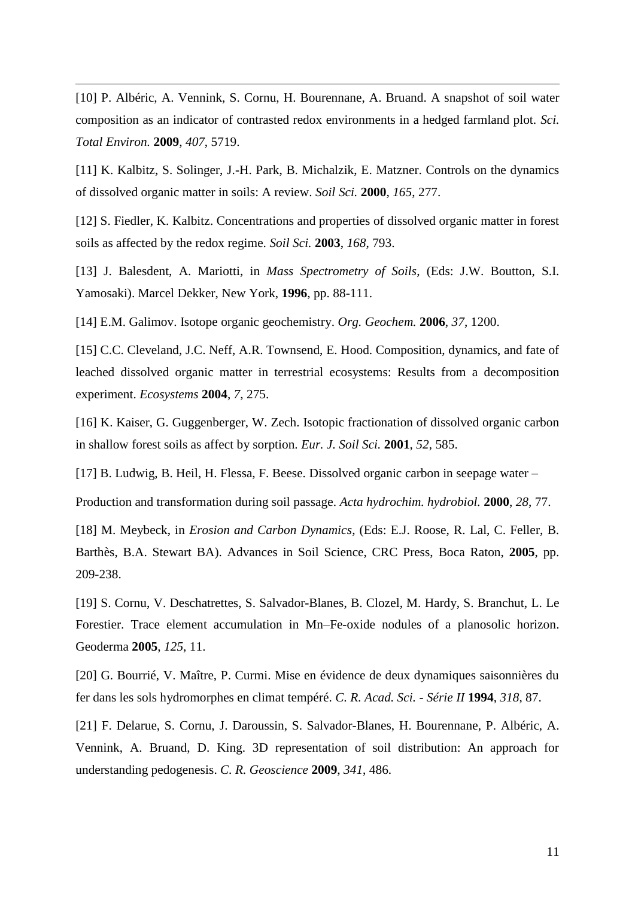[10] P. Albéric, A. Vennink, S. Cornu, H. Bourennane, A. Bruand. A snapshot of soil water composition as an indicator of contrasted redox environments in a hedged farmland plot. *Sci. Total Environ.* **2009**, *407*, 5719.

 $\overline{a}$ 

[11] K. Kalbitz, S. Solinger, J.-H. Park, B. Michalzik, E. Matzner. Controls on the dynamics of dissolved organic matter in soils: A review. *Soil Sci.* **2000**, *165*, 277.

[12] S. Fiedler, K. Kalbitz. Concentrations and properties of dissolved organic matter in forest soils as affected by the redox regime. *Soil Sci.* **2003**, *168*, 793.

[13] J. Balesdent, A. Mariotti, in *Mass Spectrometry of Soils*, (Eds: J.W. Boutton, S.I. Yamosaki). Marcel Dekker, New York, **1996**, pp. 88-111.

[14] E.M. Galimov. Isotope organic geochemistry. *Org. Geochem.* **2006**, *37*, 1200.

[15] C.C. Cleveland, J.C. Neff, A.R. Townsend, E. Hood. Composition, dynamics, and fate of leached dissolved organic matter in terrestrial ecosystems: Results from a decomposition experiment. *Ecosystems* **2004**, *7*, 275.

[16] K. Kaiser, G. Guggenberger, W. Zech. Isotopic fractionation of dissolved organic carbon in shallow forest soils as affect by sorption. *Eur. J. Soil Sci.* **2001**, *52*, 585.

[17] B. Ludwig, B. Heil, H. Flessa, F. Beese. Dissolved organic carbon in seepage water –

Production and transformation during soil passage. *Acta hydrochim. hydrobiol.* **2000**, *28*, 77.

[18] M. Meybeck, in *Erosion and Carbon Dynamics*, (Eds: E.J. Roose, R. Lal, C. Feller, B. Barthès, B.A. Stewart BA). Advances in Soil Science, CRC Press, Boca Raton, **2005**, pp. 209-238.

[19] S. Cornu, V. Deschatrettes, S. Salvador-Blanes, B. Clozel, M. Hardy, S. Branchut, L. Le Forestier. Trace element accumulation in Mn–Fe-oxide nodules of a planosolic horizon. Geoderma **2005**, *125*, 11.

[20] G. Bourrié, V. Maître, P. Curmi. Mise en évidence de deux dynamiques saisonnières du fer dans les sols hydromorphes en climat tempéré. *C. R. Acad. Sci. - Série II* **1994**, *318*, 87.

[21] F. Delarue, S. Cornu, J. Daroussin, S. Salvador-Blanes, H. Bourennane, P. Albéric, A. Vennink, A. Bruand, D. King. 3D representation of soil distribution: An approach for understanding pedogenesis. *C. R. Geoscience* **2009**, *341*, 486.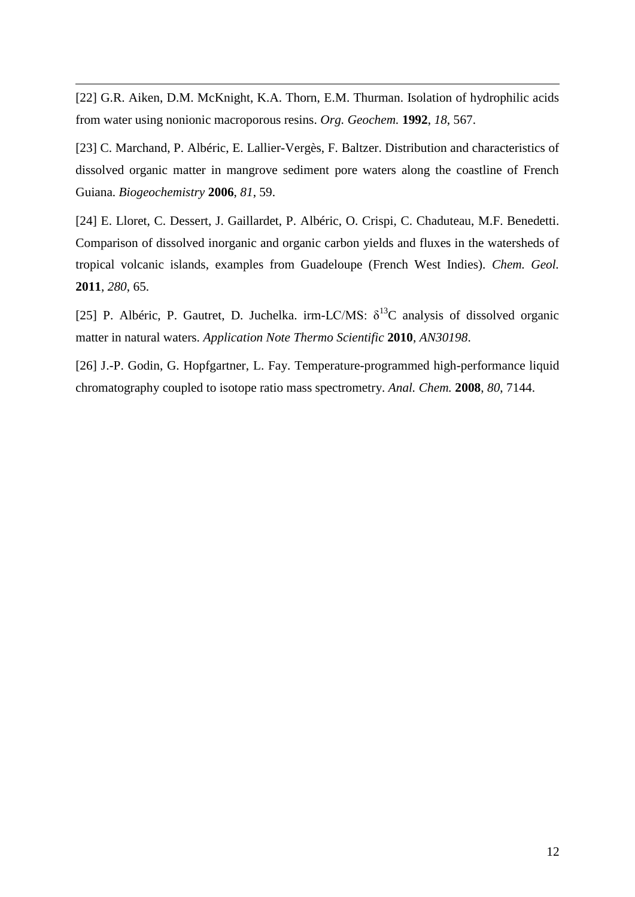[22] G.R. Aiken, D.M. McKnight, K.A. Thorn, E.M. Thurman. Isolation of hydrophilic acids from water using nonionic macroporous resins. *Org. Geochem.* **1992**, *18*, 567.

 $\overline{a}$ 

[23] C. Marchand, P. Albéric, E. Lallier-Vergès, F. Baltzer. Distribution and characteristics of dissolved organic matter in mangrove sediment pore waters along the coastline of French Guiana. *Biogeochemistry* **2006**, *81*, 59.

[24] E. Lloret, C. Dessert, J. Gaillardet, P. Albéric, O. Crispi, C. Chaduteau, M.F. Benedetti. Comparison of dissolved inorganic and organic carbon yields and fluxes in the watersheds of tropical volcanic islands, examples from Guadeloupe (French West Indies). *Chem. Geol.* **2011**, *280*, 65.

[25] P. Albéric, P. Gautret, D. Juchelka. irm-LC/MS:  $\delta^{13}$ C analysis of dissolved organic matter in natural waters. *Application Note Thermo Scientific* **2010**, *AN30198*.

[26] J.-P. Godin, G. Hopfgartner, L. Fay. Temperature-programmed high-performance liquid chromatography coupled to isotope ratio mass spectrometry. *Anal. Chem.* **2008**, *80*, 7144.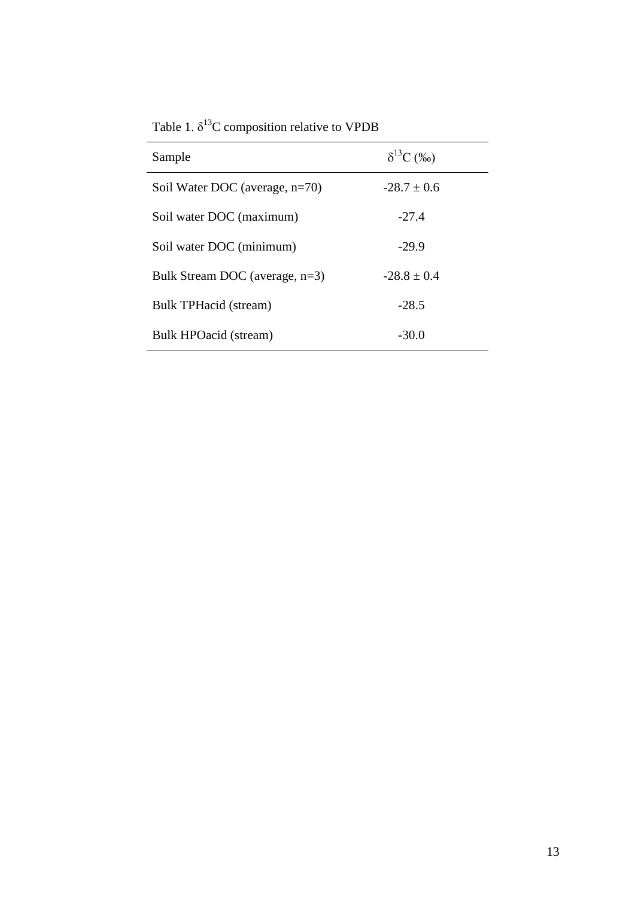| Sample                            | $\delta^{13}C$ (%o) |
|-----------------------------------|---------------------|
| Soil Water DOC (average, $n=70$ ) | $-28.7 + 0.6$       |
| Soil water DOC (maximum)          | $-27.4$             |
| Soil water DOC (minimum)          | $-29.9$             |
| Bulk Stream DOC (average, n=3)    | $-28.8 \pm 0.4$     |
| Bulk TPHacid (stream)             | $-28.5$             |
| Bulk HPOacid (stream)             | $-30.0$             |

Table 1.  $\delta^{13}$ C composition relative to VPDB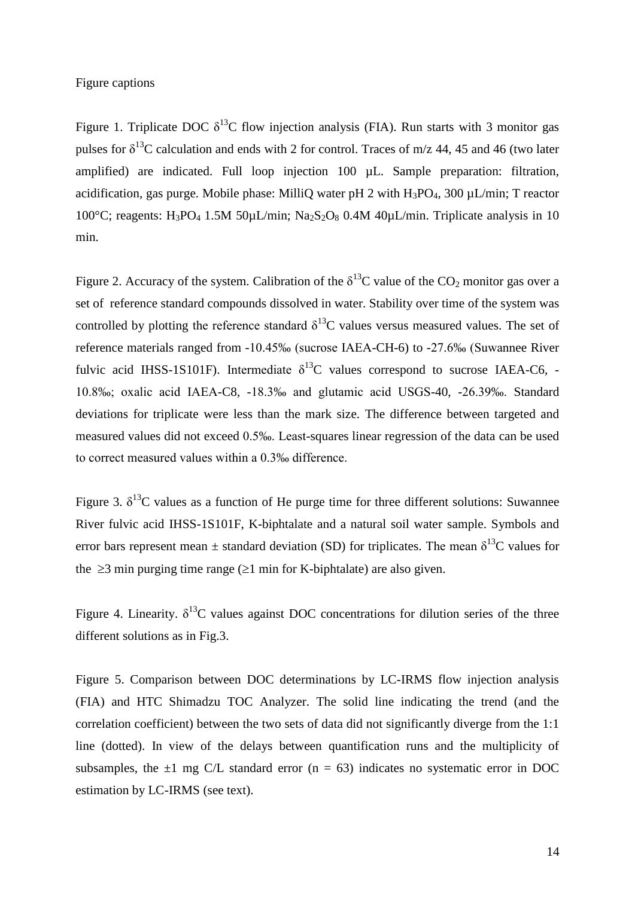#### Figure captions

Figure 1. Triplicate DOC  $\delta^{13}$ C flow injection analysis (FIA). Run starts with 3 monitor gas pulses for  $\delta^{13}$ C calculation and ends with 2 for control. Traces of m/z 44, 45 and 46 (two later amplified) are indicated. Full loop injection 100 µL. Sample preparation: filtration, acidification, gas purge. Mobile phase: MilliQ water pH 2 with  $H_3PO_4$ , 300  $\mu L/min$ ; T reactor 100°C; reagents: H<sub>3</sub>PO<sub>4</sub> 1.5M 50 $\mu$ L/min; Na<sub>2</sub>S<sub>2</sub>O<sub>8</sub> 0.4M 40 $\mu$ L/min. Triplicate analysis in 10 min.

Figure 2. Accuracy of the system. Calibration of the  $\delta^{13}C$  value of the CO<sub>2</sub> monitor gas over a set of reference standard compounds dissolved in water. Stability over time of the system was controlled by plotting the reference standard  $\delta^{13}$ C values versus measured values. The set of reference materials ranged from -10.45‰ (sucrose IAEA-CH-6) to -27.6‰ (Suwannee River fulvic acid IHSS-1S101F). Intermediate  $\delta^{13}$ C values correspond to sucrose IAEA-C6, -10.8‰; oxalic acid IAEA-C8, -18.3‰ and glutamic acid USGS-40, -26.39‰. Standard deviations for triplicate were less than the mark size. The difference between targeted and measured values did not exceed 0.5‰. Least-squares linear regression of the data can be used to correct measured values within a 0.3‰ difference.

Figure 3.  $\delta^{13}$ C values as a function of He purge time for three different solutions: Suwannee River fulvic acid IHSS-1S101F, K-biphtalate and a natural soil water sample. Symbols and error bars represent mean  $\pm$  standard deviation (SD) for triplicates. The mean  $\delta^{13}$ C values for the  $\geq$ 3 min purging time range ( $\geq$ 1 min for K-biphtalate) are also given.

Figure 4. Linearity.  $\delta^{13}C$  values against DOC concentrations for dilution series of the three different solutions as in Fig.3.

Figure 5. Comparison between DOC determinations by LC-IRMS flow injection analysis (FIA) and HTC Shimadzu TOC Analyzer. The solid line indicating the trend (and the correlation coefficient) between the two sets of data did not significantly diverge from the 1:1 line (dotted). In view of the delays between quantification runs and the multiplicity of subsamples, the  $\pm 1$  mg C/L standard error (n = 63) indicates no systematic error in DOC estimation by LC-IRMS (see text).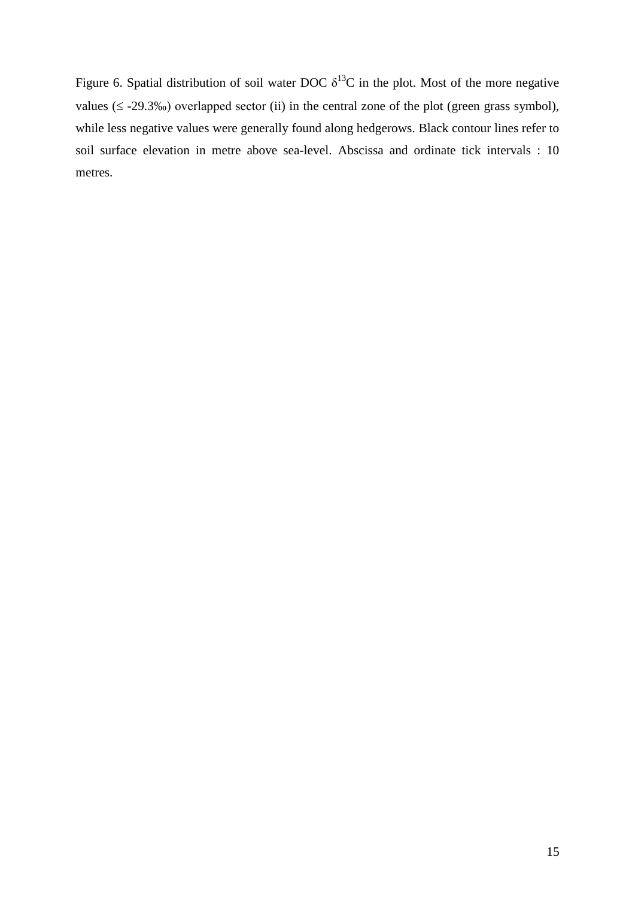Figure 6. Spatial distribution of soil water DOC  $\delta^{13}$ C in the plot. Most of the more negative values  $(\leq -29.3\%)$  overlapped sector (ii) in the central zone of the plot (green grass symbol), while less negative values were generally found along hedgerows. Black contour lines refer to soil surface elevation in metre above sea-level. Abscissa and ordinate tick intervals : 10 metres.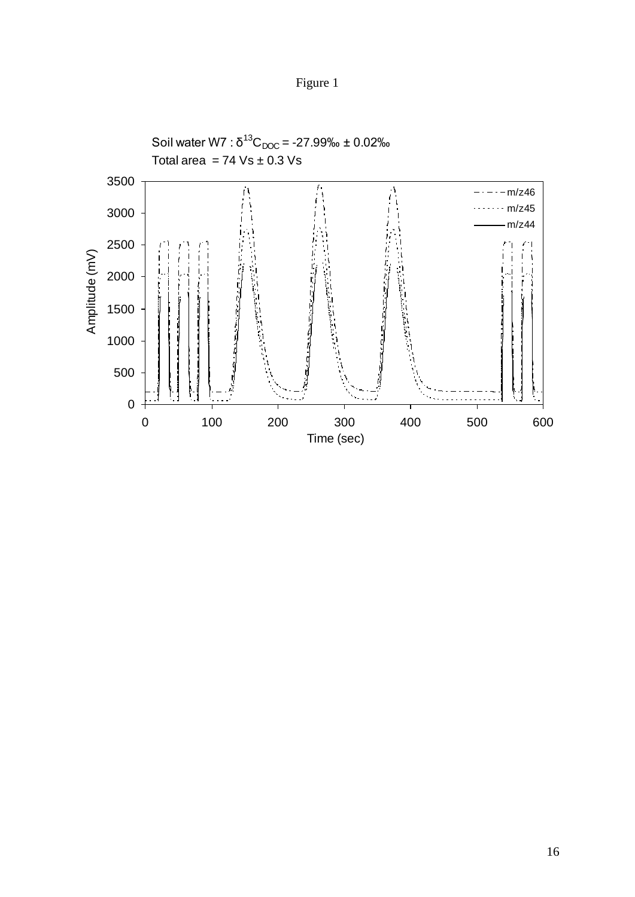

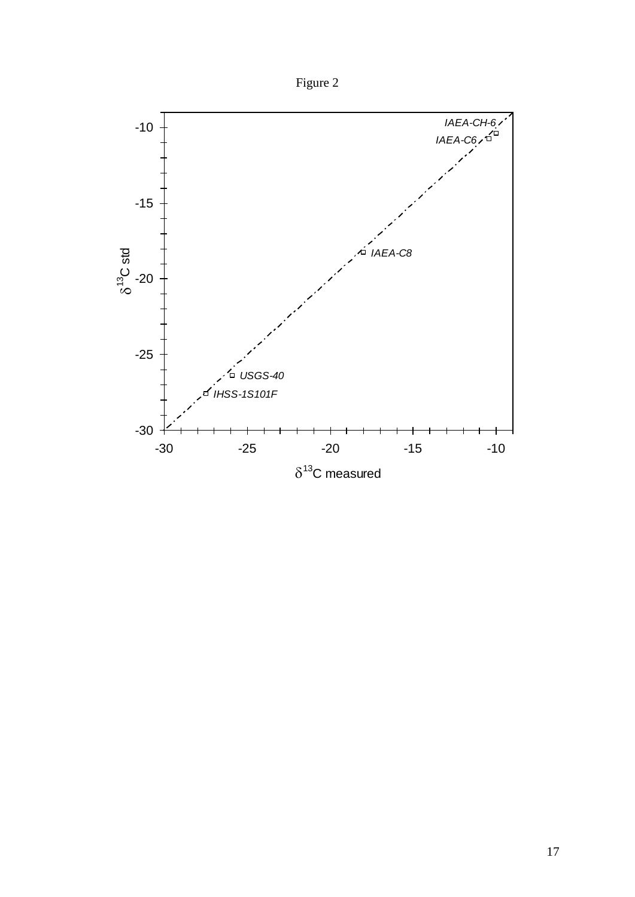

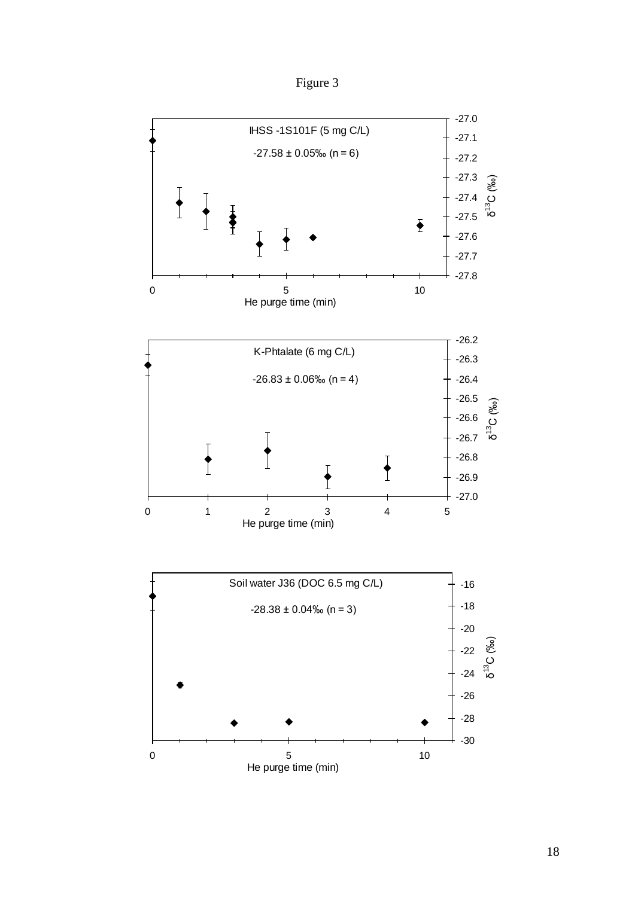Figure 3

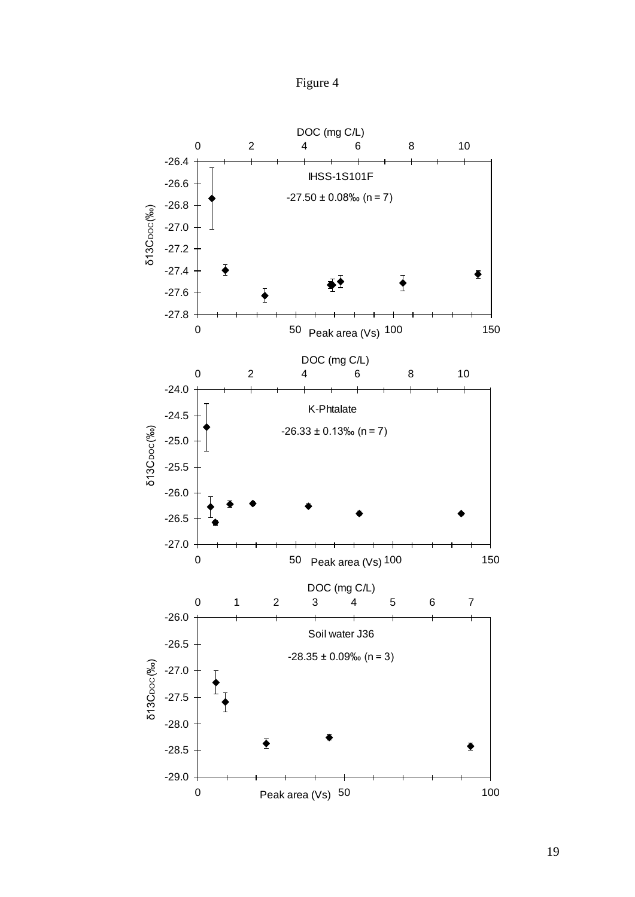